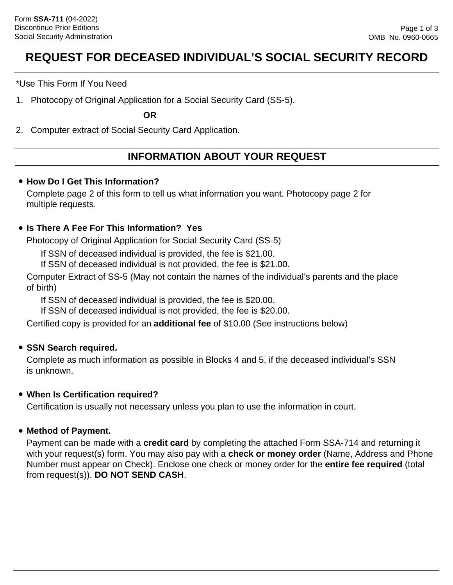# **REQUEST FOR DECEASED INDIVIDUAL'S SOCIAL SECURITY RECORD**

\*Use This Form If You Need

1. Photocopy of Original Application for a Social Security Card (SS-5).

**OR**

2. Computer extract of Social Security Card Application.

# **INFORMATION ABOUT YOUR REQUEST**

### • **How Do I Get This Information?**

Complete page 2 of this form to tell us what information you want. Photocopy page 2 for multiple requests.

## • **Is There A Fee For This Information? Yes**

Photocopy of Original Application for Social Security Card (SS-5)

If SSN of deceased individual is provided, the fee is \$21.00.

If SSN of deceased individual is not provided, the fee is \$21.00.

Computer Extract of SS-5 (May not contain the names of the individual's parents and the place of birth)

If SSN of deceased individual is provided, the fee is \$20.00.

If SSN of deceased individual is not provided, the fee is \$20.00.

Certified copy is provided for an **additional fee** of \$10.00 (See instructions below)

## • **SSN Search required.**

Complete as much information as possible in Blocks 4 and 5, if the deceased individual's SSN is unknown.

### • **When Is Certification required?**

Certification is usually not necessary unless you plan to use the information in court.

### • **Method of Payment.**

Payment can be made with a **credit card** by completing the attached Form SSA-714 and returning it with your request(s) form. You may also pay with a **check or money order** (Name, Address and Phone Number must appear on Check). Enclose one check or money order for the **entire fee required** (total from request(s)). **DO NOT SEND CASH**.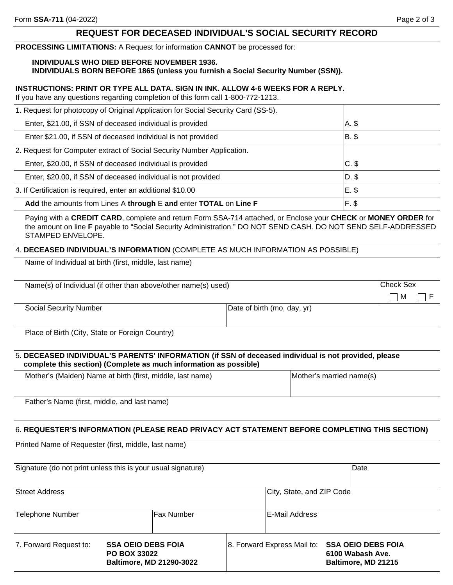#### **REQUEST FOR DECEASED INDIVIDUAL'S SOCIAL SECURITY RECORD**

**PROCESSING LIMITATIONS:** A Request for information **CANNOT** be processed for:

#### **INDIVIDUALS WHO DIED BEFORE NOVEMBER 1936.**

**INDIVIDUALS BORN BEFORE 1865 (unless you furnish a Social Security Number (SSN)).**

#### **INSTRUCTIONS: PRINT OR TYPE ALL DATA. SIGN IN INK. ALLOW 4-6 WEEKS FOR A REPLY.**

If you have any questions regarding completion of this form call 1-800-772-1213.

| 1. Request for photocopy of Original Application for Social Security Card (SS-5). |         |
|-----------------------------------------------------------------------------------|---------|
| Enter, \$21.00, if SSN of deceased individual is provided                         | A. \$   |
| Enter \$21.00, if SSN of deceased individual is not provided                      | $ B. \$ |
| 2. Request for Computer extract of Social Security Number Application.            |         |
| Enter, \$20.00, if SSN of deceased individual is provided                         | $C.$ \$ |
| Enter, \$20.00, if SSN of deceased individual is not provided                     | D. \$   |
| 3. If Certification is required, enter an additional \$10.00                      | E. \$   |
| Add the amounts from Lines A through E and enter TOTAL on Line F                  | F. \$   |

Paying with a **CREDIT CARD**, complete and return Form SSA-714 attached, or Enclose your **CHECK** or **MONEY ORDER** for the amount on line **F** payable to "Social Security Administration." DO NOT SEND CASH. DO NOT SEND SELF-ADDRESSED STAMPED ENVELOPE.

#### 4. **DECEASED INDIVIDUAL'S INFORMATION** (COMPLETE AS MUCH INFORMATION AS POSSIBLE)

Name of Individual at birth (first, middle, last name)

| Name(s) of Individual (if other than above/other name(s) used) |                             | <b>Check Sex</b> |     |
|----------------------------------------------------------------|-----------------------------|------------------|-----|
|                                                                |                             | $\mathsf{M}$     | IIF |
| Social Security Number                                         | Date of birth (mo, day, yr) |                  |     |

Place of Birth (City, State or Foreign Country)

#### 5. **DECEASED INDIVIDUAL'S PARENTS' INFORMATION (if SSN of deceased individual is not provided, please complete this section) (Complete as much information as possible)**

| Mother's (Maiden) Name at birth (first, middle, last name) | Mother's married name(s) |
|------------------------------------------------------------|--------------------------|
|                                                            |                          |
| $Eathor's$ Nome (first middle and lost nome)               |                          |

# Father's Name (first, middle, and last name)

#### 6. **REQUESTER'S INFORMATION (PLEASE READ PRIVACY ACT STATEMENT BEFORE COMPLETING THIS SECTION)**

Printed Name of Requester (first, middle, last name)

| Signature (do not print unless this is your usual signature)                                                  |  |                           | Date                        |                                                                      |  |
|---------------------------------------------------------------------------------------------------------------|--|---------------------------|-----------------------------|----------------------------------------------------------------------|--|
| <b>Street Address</b>                                                                                         |  | City, State, and ZIP Code |                             |                                                                      |  |
| Telephone Number                                                                                              |  | Fax Number                |                             | IE-Mail Address                                                      |  |
| <b>SSA OEIO DEBS FOIA</b><br>7. Forward Request to:<br><b>PO BOX 33022</b><br><b>Baltimore, MD 21290-3022</b> |  |                           | 8. Forward Express Mail to: | <b>SSA OEIO DEBS FOIA</b><br>6100 Wabash Ave.<br>Baltimore, MD 21215 |  |